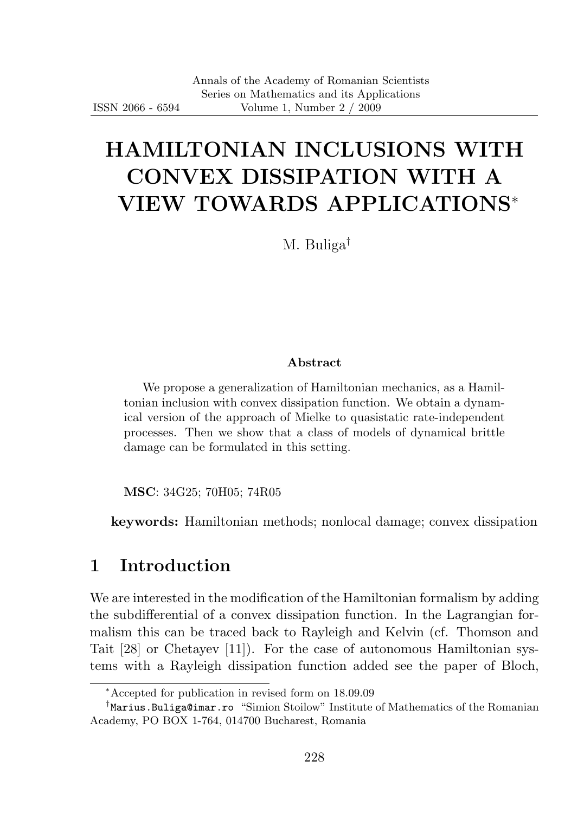# HAMILTONIAN INCLUSIONS WITH CONVEX DISSIPATION WITH A VIEW TOWARDS APPLICATIONS<sup>∗</sup>

M. Buliga†

#### Abstract

We propose a generalization of Hamiltonian mechanics, as a Hamiltonian inclusion with convex dissipation function. We obtain a dynamical version of the approach of Mielke to quasistatic rate-independent processes. Then we show that a class of models of dynamical brittle damage can be formulated in this setting.

MSC: 34G25; 70H05; 74R05

keywords: Hamiltonian methods; nonlocal damage; convex dissipation

### 1 Introduction

We are interested in the modification of the Hamiltonian formalism by adding the subdifferential of a convex dissipation function. In the Lagrangian formalism this can be traced back to Rayleigh and Kelvin (cf. Thomson and Tait [28] or Chetayev [11]). For the case of autonomous Hamiltonian systems with a Rayleigh dissipation function added see the paper of Bloch,

<sup>∗</sup>Accepted for publication in revised form on 18.09.09

<sup>†</sup> Marius.Buliga@imar.ro "Simion Stoilow" Institute of Mathematics of the Romanian Academy, PO BOX 1-764, 014700 Bucharest, Romania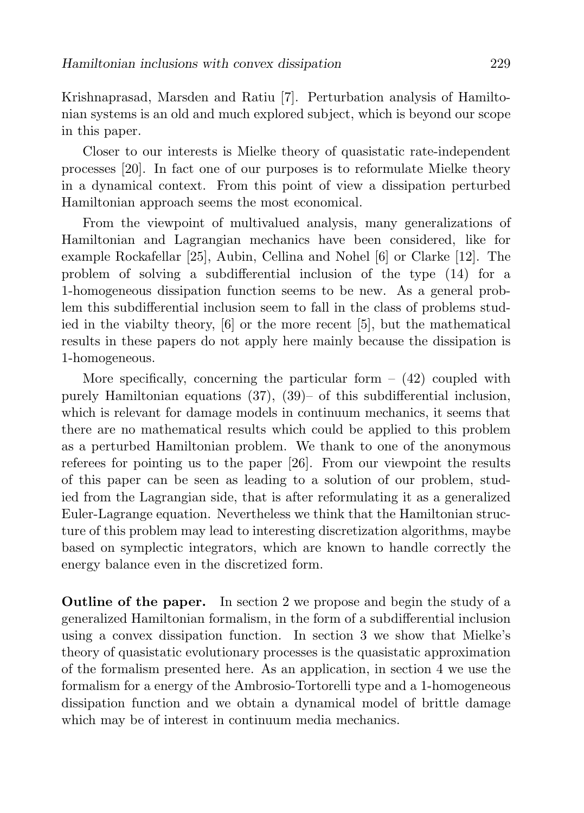Krishnaprasad, Marsden and Ratiu [7]. Perturbation analysis of Hamiltonian systems is an old and much explored subject, which is beyond our scope in this paper.

Closer to our interests is Mielke theory of quasistatic rate-independent processes [20]. In fact one of our purposes is to reformulate Mielke theory in a dynamical context. From this point of view a dissipation perturbed Hamiltonian approach seems the most economical.

From the viewpoint of multivalued analysis, many generalizations of Hamiltonian and Lagrangian mechanics have been considered, like for example Rockafellar [25], Aubin, Cellina and Nohel [6] or Clarke [12]. The problem of solving a subdifferential inclusion of the type (14) for a 1-homogeneous dissipation function seems to be new. As a general problem this subdifferential inclusion seem to fall in the class of problems studied in the viabilty theory, [6] or the more recent [5], but the mathematical results in these papers do not apply here mainly because the dissipation is 1-homogeneous.

More specifically, concerning the particular form  $-$  (42) coupled with purely Hamiltonian equations (37), (39)– of this subdifferential inclusion, which is relevant for damage models in continuum mechanics, it seems that there are no mathematical results which could be applied to this problem as a perturbed Hamiltonian problem. We thank to one of the anonymous referees for pointing us to the paper [26]. From our viewpoint the results of this paper can be seen as leading to a solution of our problem, studied from the Lagrangian side, that is after reformulating it as a generalized Euler-Lagrange equation. Nevertheless we think that the Hamiltonian structure of this problem may lead to interesting discretization algorithms, maybe based on symplectic integrators, which are known to handle correctly the energy balance even in the discretized form.

Outline of the paper. In section 2 we propose and begin the study of a generalized Hamiltonian formalism, in the form of a subdifferential inclusion using a convex dissipation function. In section 3 we show that Mielke's theory of quasistatic evolutionary processes is the quasistatic approximation of the formalism presented here. As an application, in section 4 we use the formalism for a energy of the Ambrosio-Tortorelli type and a 1-homogeneous dissipation function and we obtain a dynamical model of brittle damage which may be of interest in continuum media mechanics.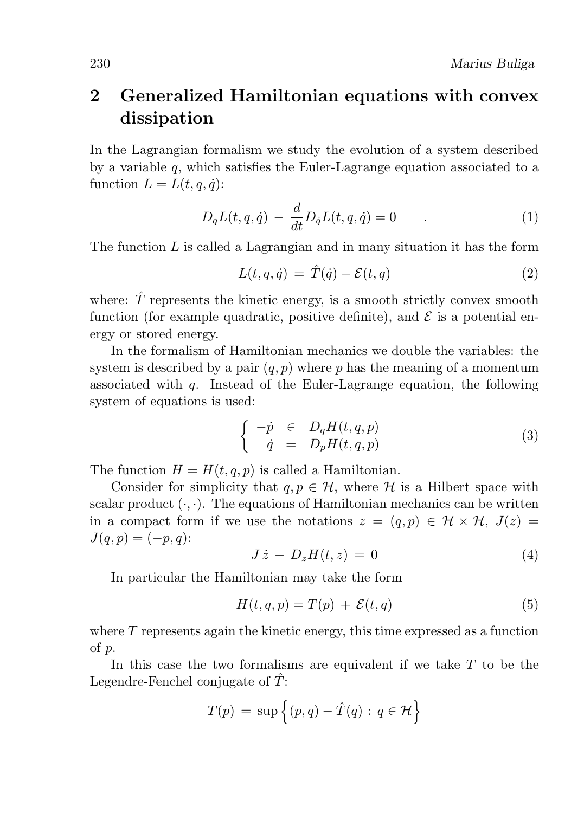### 2 Generalized Hamiltonian equations with convex dissipation

In the Lagrangian formalism we study the evolution of a system described by a variable  $q$ , which satisfies the Euler-Lagrange equation associated to a function  $L = L(t, a, \dot{a})$ :

$$
D_q L(t, q, \dot{q}) - \frac{d}{dt} D_{\dot{q}} L(t, q, \dot{q}) = 0 \tag{1}
$$

The function  $L$  is called a Lagrangian and in many situation it has the form

$$
L(t, q, \dot{q}) = \hat{T}(\dot{q}) - \mathcal{E}(t, q)
$$
\n(2)

where:  $\hat{T}$  represents the kinetic energy, is a smooth strictly convex smooth function (for example quadratic, positive definite), and  $\mathcal E$  is a potential energy or stored energy.

In the formalism of Hamiltonian mechanics we double the variables: the system is described by a pair  $(q, p)$  where p has the meaning of a momentum associated with  $q$ . Instead of the Euler-Lagrange equation, the following system of equations is used:

$$
\begin{cases}\n-p \in D_q H(t, q, p) \\
\dot{q} = D_p H(t, q, p)\n\end{cases} \tag{3}
$$

The function  $H = H(t, q, p)$  is called a Hamiltonian.

Consider for simplicity that  $q, p \in \mathcal{H}$ , where  $\mathcal H$  is a Hilbert space with scalar product  $(\cdot, \cdot)$ . The equations of Hamiltonian mechanics can be written in a compact form if we use the notations  $z = (q, p) \in \mathcal{H} \times \mathcal{H}$ ,  $J(z) =$  $J(q, p) = (-p, q)$ :

$$
J\dot{z} - D_z H(t, z) = 0 \tag{4}
$$

In particular the Hamiltonian may take the form

$$
H(t,q,p) = T(p) + \mathcal{E}(t,q)
$$
\n<sup>(5)</sup>

where  $T$  represents again the kinetic energy, this time expressed as a function of p.

In this case the two formalisms are equivalent if we take  $T$  to be the Legendre-Fenchel conjugate of  $\tilde{T}$ :

$$
T(p) = \sup \left\{ (p, q) - \hat{T}(q) : q \in \mathcal{H} \right\}
$$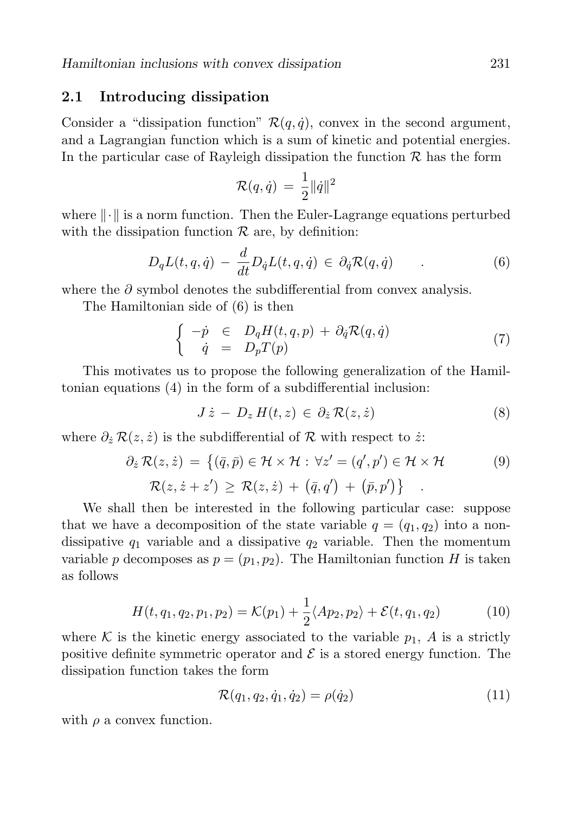### 2.1 Introducing dissipation

Consider a "dissipation function"  $\mathcal{R}(q, \dot{q})$ , convex in the second argument, and a Lagrangian function which is a sum of kinetic and potential energies. In the particular case of Rayleigh dissipation the function  $\mathcal R$  has the form

$$
\mathcal{R}(q,\dot{q})\,=\,\frac{1}{2}\|\dot{q}\|^2
$$

where  $\|\cdot\|$  is a norm function. Then the Euler-Lagrange equations perturbed with the dissipation function  $R$  are, by definition:

$$
D_q L(t, q, \dot{q}) - \frac{d}{dt} D_{\dot{q}} L(t, q, \dot{q}) \in \partial_{\dot{q}} \mathcal{R}(q, \dot{q}) \tag{6}
$$

where the  $\partial$  symbol denotes the subdifferential from convex analysis.

The Hamiltonian side of (6) is then

$$
\begin{cases}\n-p \in D_q H(t, q, p) + \partial_{\dot{q}} \mathcal{R}(q, \dot{q}) \\
\dot{q} = D_p T(p)\n\end{cases} \tag{7}
$$

This motivates us to propose the following generalization of the Hamiltonian equations (4) in the form of a subdifferential inclusion:

$$
J\dot{z} - D_z H(t, z) \in \partial_{\dot{z}} \mathcal{R}(z, \dot{z}) \tag{8}
$$

where  $\partial_{\dot{z}} \mathcal{R}(z, \dot{z})$  is the subdifferential of R with respect to  $\dot{z}$ .

$$
\partial_{\tilde{z}} \mathcal{R}(z, \dot{z}) = \{ (\bar{q}, \bar{p}) \in \mathcal{H} \times \mathcal{H} : \forall z' = (q', p') \in \mathcal{H} \times \mathcal{H} \qquad (9)
$$

$$
\mathcal{R}(z, \dot{z} + z') \ge \mathcal{R}(z, \dot{z}) + (\bar{q}, q') + (\bar{p}, p') \} .
$$

We shall then be interested in the following particular case: suppose that we have a decomposition of the state variable  $q = (q_1, q_2)$  into a nondissipative  $q_1$  variable and a dissipative  $q_2$  variable. Then the momentum variable p decomposes as  $p = (p_1, p_2)$ . The Hamiltonian function H is taken as follows

$$
H(t, q_1, q_2, p_1, p_2) = \mathcal{K}(p_1) + \frac{1}{2} \langle Ap_2, p_2 \rangle + \mathcal{E}(t, q_1, q_2)
$$
 (10)

where K is the kinetic energy associated to the variable  $p_1$ , A is a strictly positive definite symmetric operator and  $\mathcal E$  is a stored energy function. The dissipation function takes the form

$$
\mathcal{R}(q_1, q_2, \dot{q}_1, \dot{q}_2) = \rho(\dot{q}_2)
$$
\n(11)

with  $\rho$  a convex function.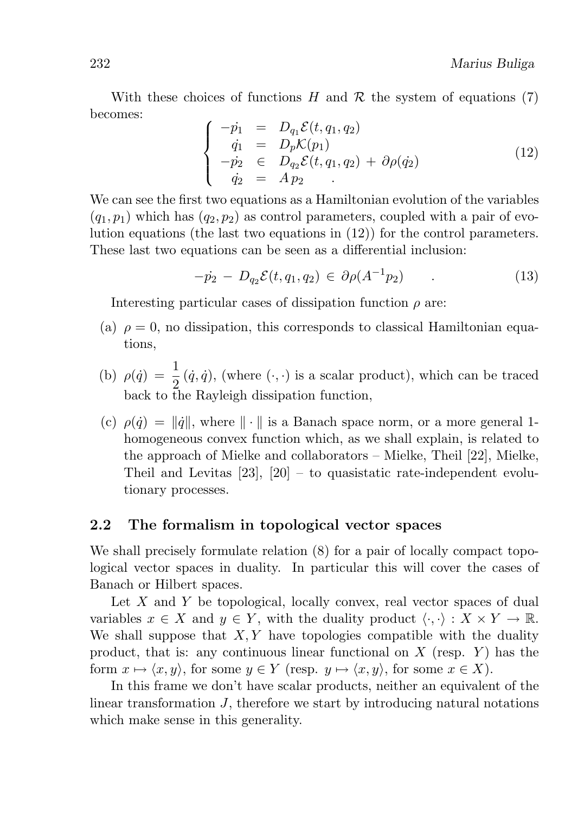With these choices of functions H and R the system of equations (7) becomes:

$$
\begin{cases}\n-p_1 = D_{q_1} \mathcal{E}(t, q_1, q_2) \\
\dot{q}_1 = D_p \mathcal{K}(p_1) \\
-p_2 \in D_{q_2} \mathcal{E}(t, q_1, q_2) + \partial \rho(\dot{q}_2) \\
\dot{q}_2 = A p_2\n\end{cases}
$$
\n(12)

We can see the first two equations as a Hamiltonian evolution of the variables  $(q_1, p_1)$  which has  $(q_2, p_2)$  as control parameters, coupled with a pair of evolution equations (the last two equations in  $(12)$ ) for the control parameters. These last two equations can be seen as a differential inclusion:

$$
-p_2 - D_{q_2} \mathcal{E}(t, q_1, q_2) \in \partial \rho(A^{-1} p_2) \tag{13}
$$

Interesting particular cases of dissipation function  $\rho$  are:

- (a)  $\rho = 0$ , no dissipation, this corresponds to classical Hamiltonian equations,
- (b)  $\rho(\dot{q}) = \frac{1}{2}(\dot{q}, \dot{q})$ , (where  $(\cdot, \cdot)$  is a scalar product), which can be traced back to the Rayleigh dissipation function,
- (c)  $\rho(\dot{q}) = ||\dot{q}||$ , where  $|| \cdot ||$  is a Banach space norm, or a more general 1homogeneous convex function which, as we shall explain, is related to the approach of Mielke and collaborators – Mielke, Theil [22], Mielke, Theil and Levitas [23], [20] – to quasistatic rate-independent evolutionary processes.

### 2.2 The formalism in topological vector spaces

We shall precisely formulate relation (8) for a pair of locally compact topological vector spaces in duality. In particular this will cover the cases of Banach or Hilbert spaces.

Let  $X$  and  $Y$  be topological, locally convex, real vector spaces of dual variables  $x \in X$  and  $y \in Y$ , with the duality product  $\langle \cdot, \cdot \rangle : X \times Y \to \mathbb{R}$ . We shall suppose that  $X, Y$  have topologies compatible with the duality product, that is: any continuous linear functional on  $X$  (resp.  $Y$ ) has the form  $x \mapsto \langle x, y \rangle$ , for some  $y \in Y$  (resp.  $y \mapsto \langle x, y \rangle$ , for some  $x \in X$ ).

In this frame we don't have scalar products, neither an equivalent of the linear transformation J, therefore we start by introducing natural notations which make sense in this generality.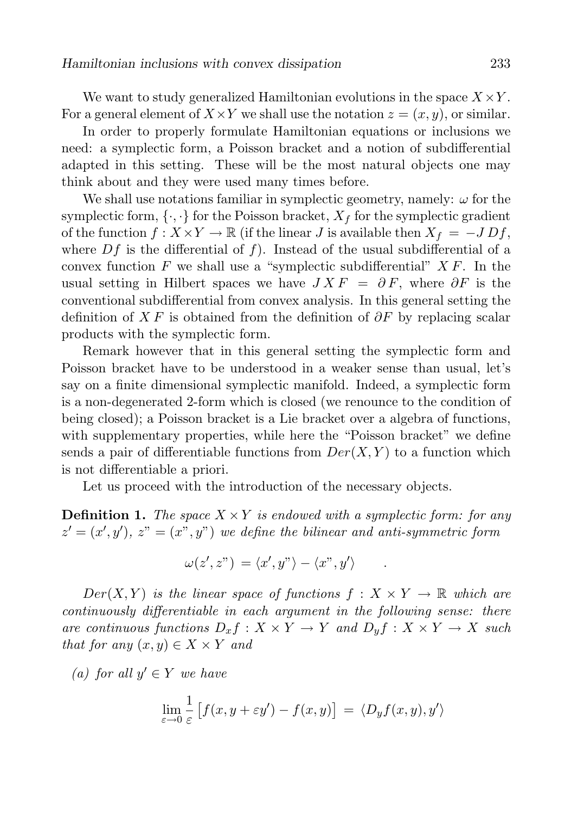We want to study generalized Hamiltonian evolutions in the space  $X \times Y$ . For a general element of  $X \times Y$  we shall use the notation  $z = (x, y)$ , or similar.

In order to properly formulate Hamiltonian equations or inclusions we need: a symplectic form, a Poisson bracket and a notion of subdifferential adapted in this setting. These will be the most natural objects one may think about and they were used many times before.

We shall use notations familiar in symplectic geometry, namely:  $\omega$  for the symplectic form,  $\{\cdot,\cdot\}$  for the Poisson bracket,  $X_f$  for the symplectic gradient of the function  $f: X \times Y \to \mathbb{R}$  (if the linear J is available then  $X_f = -J D f$ , where  $Df$  is the differential of f). Instead of the usual subdifferential of a convex function F we shall use a "symplectic subdifferential"  $X F$ . In the usual setting in Hilbert spaces we have  $J X F = \partial F$ , where  $\partial F$  is the conventional subdifferential from convex analysis. In this general setting the definition of X F is obtained from the definition of  $\partial F$  by replacing scalar products with the symplectic form.

Remark however that in this general setting the symplectic form and Poisson bracket have to be understood in a weaker sense than usual, let's say on a finite dimensional symplectic manifold. Indeed, a symplectic form is a non-degenerated 2-form which is closed (we renounce to the condition of being closed); a Poisson bracket is a Lie bracket over a algebra of functions, with supplementary properties, while here the "Poisson bracket" we define sends a pair of differentiable functions from  $Der(X, Y)$  to a function which is not differentiable a priori.

Let us proceed with the introduction of the necessary objects.

**Definition 1.** The space  $X \times Y$  is endowed with a symplectic form: for any  $z' = (x', y'), z" = (x", y")$  we define the bilinear and anti-symmetric form

$$
\omega(z',z") = \langle x',y"\rangle - \langle x",y'\rangle \qquad .
$$

 $Der(X, Y)$  is the linear space of functions  $f: X \times Y \to \mathbb{R}$  which are continuously differentiable in each argument in the following sense: there are continuous functions  $D_x f : X \times Y \to Y$  and  $D_y f : X \times Y \to X$  such that for any  $(x, y) \in X \times Y$  and

(a) for all  $y' \in Y$  we have

$$
\lim_{\varepsilon \to 0} \frac{1}{\varepsilon} \left[ f(x, y + \varepsilon y') - f(x, y) \right] = \langle D_y f(x, y), y' \rangle
$$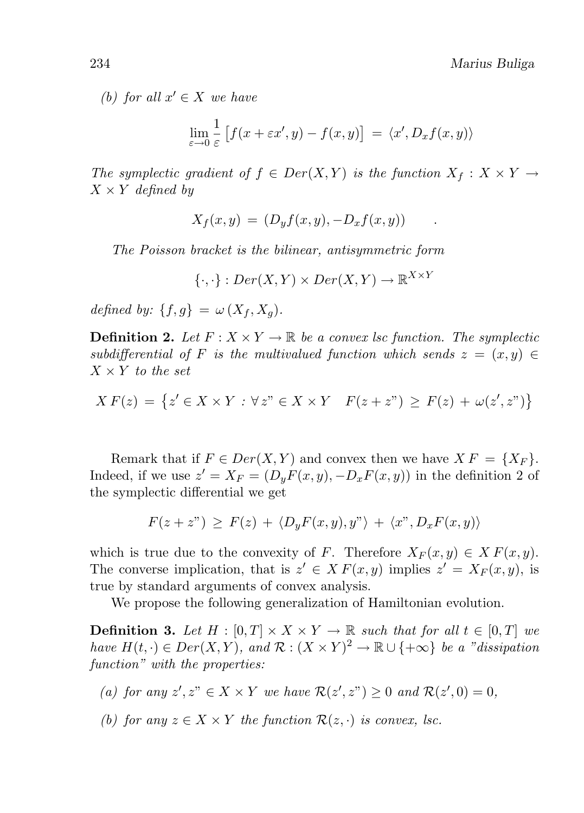(b) for all  $x' \in X$  we have

$$
\lim_{\varepsilon \to 0} \frac{1}{\varepsilon} \left[ f(x + \varepsilon x', y) - f(x, y) \right] = \langle x', D_x f(x, y) \rangle
$$

The symplectic gradient of  $f \in Der(X, Y)$  is the function  $X_f : X \times Y \to Y$  $X \times Y$  defined by

$$
X_f(x,y) = (D_y f(x,y), -D_x f(x,y)) \qquad.
$$

The Poisson bracket is the bilinear, antisymmetric form

 $\{\cdot,\cdot\}: Der(X,Y) \times Der(X,Y) \to \mathbb{R}^{X \times Y}$ 

defined by:  $\{f, g\} = \omega(X_f, X_g)$ .

**Definition 2.** Let  $F: X \times Y \to \mathbb{R}$  be a convex lsc function. The symplectic subdifferential of F is the multivalued function which sends  $z = (x, y) \in$  $X \times Y$  to the set

$$
XF(z) = \{ z' \in X \times Y : \forall z" \in X \times Y \mid F(z + z") \ge F(z) + \omega(z', z") \}
$$

Remark that if  $F \in Der(X, Y)$  and convex then we have  $X F = \{X_F\}.$ Indeed, if we use  $z' = X_F = (D_y F(x, y), -D_x F(x, y))$  in the definition 2 of the symplectic differential we get

$$
F(z+z") \geq F(z) + \langle D_y F(x,y), y'' \rangle + \langle x'', D_x F(x,y) \rangle
$$

which is true due to the convexity of F. Therefore  $X_F(x, y) \in X F(x, y)$ . The converse implication, that is  $z' \in X F(x, y)$  implies  $z' = X_F(x, y)$ , is true by standard arguments of convex analysis.

We propose the following generalization of Hamiltonian evolution.

**Definition 3.** Let  $H : [0, T] \times X \times Y \to \mathbb{R}$  such that for all  $t \in [0, T]$  we have  $H(t, \cdot) \in Der(X, Y)$ , and  $\mathcal{R}: (X \times Y)^2 \to \mathbb{R} \cup \{+\infty\}$  be a "dissipation" function" with the properties:

- (a) for any  $z', z'' \in X \times Y$  we have  $\mathcal{R}(z', z'') \geq 0$  and  $\mathcal{R}(z', 0) = 0$ ,
- (b) for any  $z \in X \times Y$  the function  $\mathcal{R}(z, \cdot)$  is convex, lsc.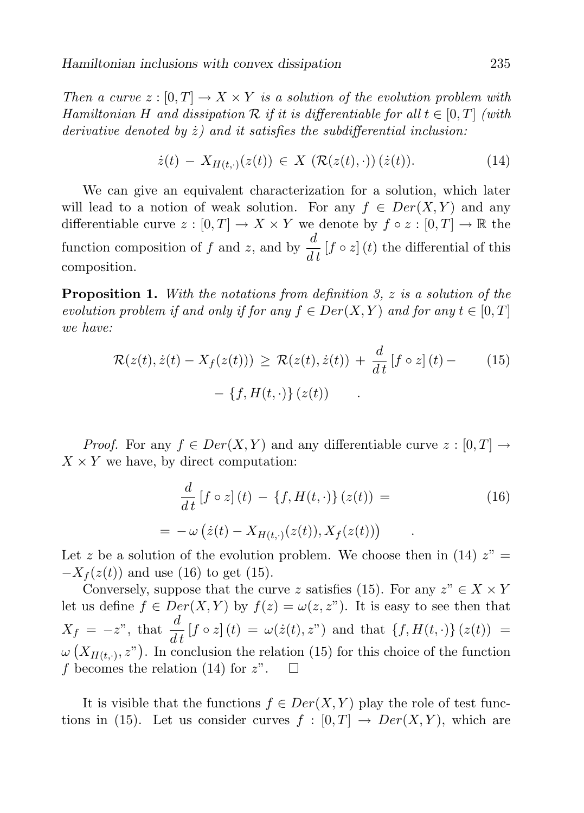Then a curve  $z : [0, T] \to X \times Y$  is a solution of the evolution problem with Hamiltonian H and dissipation R if it is differentiable for all  $t \in [0, T]$  (with derivative denoted by  $\dot{z}$ ) and it satisfies the subdifferential inclusion:

$$
\dot{z}(t) - X_{H(t, \cdot)}(z(t)) \in X \left( \mathcal{R}(z(t), \cdot) \right) (\dot{z}(t)). \tag{14}
$$

We can give an equivalent characterization for a solution, which later will lead to a notion of weak solution. For any  $f \in Der(X, Y)$  and any differentiable curve  $z : [0, T] \to X \times Y$  we denote by  $f \circ z : [0, T] \to \mathbb{R}$  the function composition of f and z, and by  $\frac{d}{dt} [f \circ z](t)$  the differential of this composition.

**Proposition 1.** With the notations from definition 3,  $z$  is a solution of the evolution problem if and only if for any  $f \in Der(X, Y)$  and for any  $t \in [0, T]$ we have:

$$
\mathcal{R}(z(t), \dot{z}(t) - X_f(z(t))) \ge \mathcal{R}(z(t), \dot{z}(t)) + \frac{d}{dt} [f \circ z](t) -
$$
\n
$$
- \{f, H(t, \cdot)\} (z(t)) .
$$
\n(15)

*Proof.* For any  $f \in Der(X, Y)$  and any differentiable curve  $z : [0, T] \to$  $X \times Y$  we have, by direct computation:

$$
\frac{d}{dt}\left[f \circ z\right](t) - \left\{f, H(t, \cdot)\right\}(z(t)) =
$$
\n
$$
= -\omega\left(\dot{z}(t) - X_{H(t, \cdot)}(z(t)), X_f(z(t))\right) \tag{16}
$$

Let z be a solution of the evolution problem. We choose then in (14)  $z'' =$  $-X<sub>f</sub>(z(t))$  and use (16) to get (15).

Conversely, suppose that the curve z satisfies (15). For any  $z'' \in X \times Y$ let us define  $f \in Der(X, Y)$  by  $f(z) = \omega(z, z^{\nu})$ . It is easy to see then that  $X_f = -z^{\nu}$ , that  $\frac{d}{dt} [f \circ z](t) = \omega(\dot{z}(t), z^{\nu})$  and that  $\{f, H(t, \cdot)\}(z(t)) =$  $\omega\left(X_{H(t,\cdot)},z^{\prime\prime}\right)$ . In conclusion the relation (15) for this choice of the function f becomes the relation (14) for  $z$ ".  $\Box$ 

It is visible that the functions  $f \in Der(X, Y)$  play the role of test functions in (15). Let us consider curves  $f : [0, T] \rightarrow Der(X, Y)$ , which are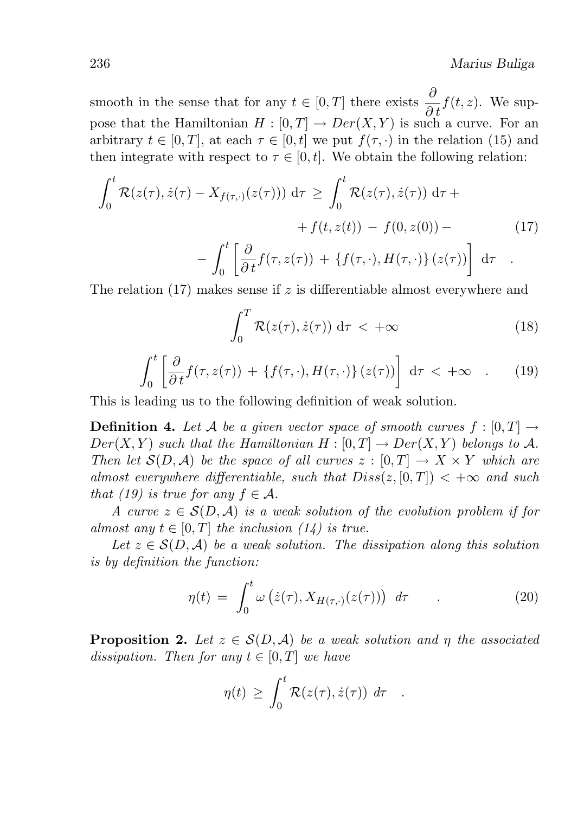smooth in the sense that for any  $t \in [0, T]$  there exists  $\frac{\partial}{\partial t} f(t, z)$ . We suppose that the Hamiltonian  $H : [0, T] \to Der(X, Y)$  is such a curve. For an arbitrary  $t \in [0, T]$ , at each  $\tau \in [0, t]$  we put  $f(\tau, \cdot)$  in the relation (15) and then integrate with respect to  $\tau \in [0, t]$ . We obtain the following relation:

$$
\int_0^t \mathcal{R}(z(\tau), \dot{z}(\tau) - X_{f(\tau, \cdot)}(z(\tau))) d\tau \ge \int_0^t \mathcal{R}(z(\tau), \dot{z}(\tau)) d\tau +
$$
  
+  $f(t, z(t)) - f(0, z(0)) -$  (17)  
- 
$$
\int_0^t \left[ \frac{\partial}{\partial t} f(\tau, z(\tau)) + \{f(\tau, \cdot), H(\tau, \cdot)\} (z(\tau)) \right] d\tau.
$$

The relation  $(17)$  makes sense if z is differentiable almost everywhere and

$$
\int_0^T \mathcal{R}(z(\tau), \dot{z}(\tau)) \, \mathrm{d}\tau < +\infty \tag{18}
$$

$$
\int_0^t \left[ \frac{\partial}{\partial t} f(\tau, z(\tau)) + \{ f(\tau, \cdot), H(\tau, \cdot) \} (z(\tau)) \right] d\tau < +\infty \quad . \tag{19}
$$

This is leading us to the following definition of weak solution.

**Definition 4.** Let A be a given vector space of smooth curves  $f : [0, T] \rightarrow$  $Der(X, Y)$  such that the Hamiltonian  $H : [0, T] \to Der(X, Y)$  belongs to A. Then let  $\mathcal{S}(D, \mathcal{A})$  be the space of all curves  $z : [0, T] \to X \times Y$  which are almost everywhere differentiable, such that  $Diss(z, [0, T]) < +\infty$  and such that (19) is true for any  $f \in \mathcal{A}$ .

A curve  $z \in \mathcal{S}(D, \mathcal{A})$  is a weak solution of the evolution problem if for almost any  $t \in [0, T]$  the inclusion  $(14)$  is true.

Let  $z \in \mathcal{S}(D, \mathcal{A})$  be a weak solution. The dissipation along this solution is by definition the function:

$$
\eta(t) = \int_0^t \omega\left(\dot{z}(\tau), X_{H(\tau, \cdot)}(z(\tau))\right) d\tau \qquad . \tag{20}
$$

**Proposition 2.** Let  $z \in \mathcal{S}(D, \mathcal{A})$  be a weak solution and  $\eta$  the associated dissipation. Then for any  $t \in [0, T]$  we have

$$
\eta(t) \geq \int_0^t \mathcal{R}(z(\tau), \dot{z}(\tau)) d\tau .
$$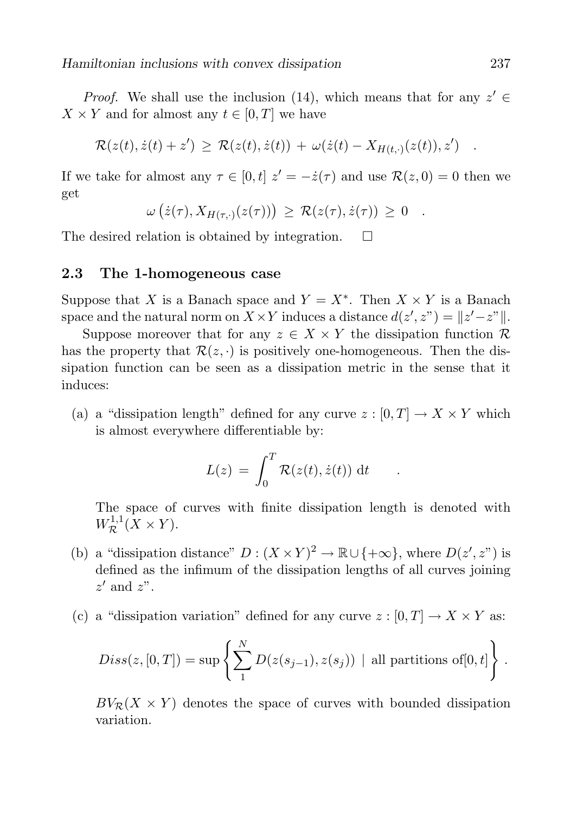*Proof.* We shall use the inclusion (14), which means that for any  $z' \in$  $X \times Y$  and for almost any  $t \in [0, T]$  we have

$$
\mathcal{R}(z(t),\dot{z}(t)+z') \geq \mathcal{R}(z(t),\dot{z}(t)) + \omega(\dot{z}(t)-X_{H(t,\cdot)}(z(t)),z') .
$$

If we take for almost any  $\tau \in [0, t]$   $z' = -\dot{z}(\tau)$  and use  $\mathcal{R}(z, 0) = 0$  then we get

$$
\omega(z(\tau), X_{H(\tau, \cdot)}(z(\tau))) \geq \mathcal{R}(z(\tau), \dot{z}(\tau)) \geq 0.
$$

The desired relation is obtained by integration.  $\Box$ 

### 2.3 The 1-homogeneous case

Suppose that X is a Banach space and  $Y = X^*$ . Then  $X \times Y$  is a Banach space and the natural norm on  $X \times Y$  induces a distance  $d(z', z'') = ||z' - z''||$ .

Suppose moreover that for any  $z \in X \times Y$  the dissipation function R has the property that  $\mathcal{R}(z, \cdot)$  is positively one-homogeneous. Then the dissipation function can be seen as a dissipation metric in the sense that it induces:

(a) a "dissipation length" defined for any curve  $z : [0, T] \to X \times Y$  which is almost everywhere differentiable by:

$$
L(z) = \int_0^T \mathcal{R}(z(t), \dot{z}(t)) dt \quad .
$$

The space of curves with finite dissipation length is denoted with  $W^{1,1}_{\mathcal{R}}(X \times Y).$ 

- (b) a "dissipation distance"  $D: (X \times Y)^2 \to \mathbb{R} \cup \{+\infty\}$ , where  $D(z', z'')$  is defined as the infimum of the dissipation lengths of all curves joining  $z'$  and  $z"$ .
- (c) a "dissipation variation" defined for any curve  $z : [0, T] \to X \times Y$  as:

$$
Diss(z, [0, T]) = \sup \left\{ \sum_{1}^{N} D(z(s_{j-1}), z(s_j)) \mid \text{all partitions of } [0, t] \right\}.
$$

 $BV_{\mathcal{R}}(X \times Y)$  denotes the space of curves with bounded dissipation variation.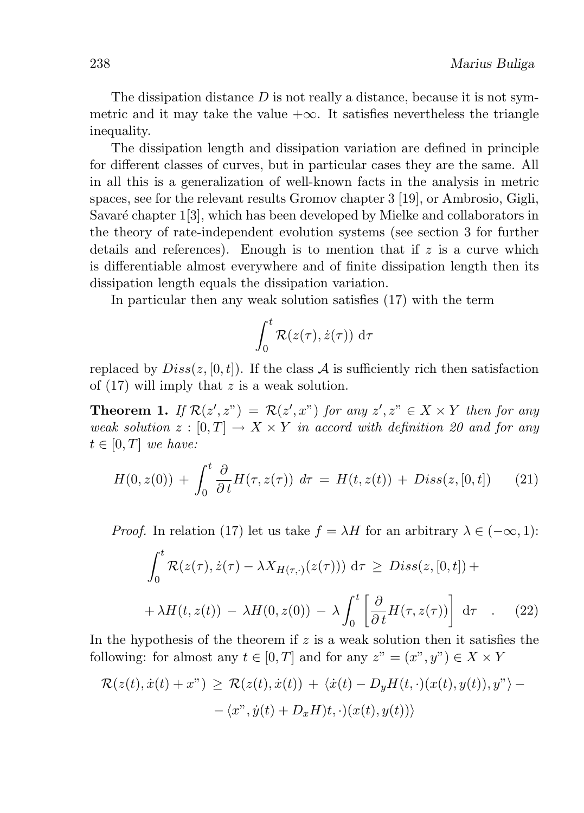The dissipation distance  $D$  is not really a distance, because it is not symmetric and it may take the value  $+\infty$ . It satisfies nevertheless the triangle inequality.

The dissipation length and dissipation variation are defined in principle for different classes of curves, but in particular cases they are the same. All in all this is a generalization of well-known facts in the analysis in metric spaces, see for the relevant results Gromov chapter 3 [19], or Ambrosio, Gigli, Savaré chapter 1[3], which has been developed by Mielke and collaborators in the theory of rate-independent evolution systems (see section 3 for further details and references). Enough is to mention that if  $z$  is a curve which is differentiable almost everywhere and of finite dissipation length then its dissipation length equals the dissipation variation.

In particular then any weak solution satisfies (17) with the term

$$
\int_0^t \mathcal{R}(z(\tau), \dot{z}(\tau)) \, d\tau
$$

replaced by  $Diss(z, [0, t])$ . If the class A is sufficiently rich then satisfaction of  $(17)$  will imply that z is a weak solution.

**Theorem 1.** If  $\mathcal{R}(z', z'') = \mathcal{R}(z', x'')$  for any  $z', z'' \in X \times Y$  then for any weak solution  $z : [0, T] \to X \times Y$  in accord with definition 20 and for any  $t \in [0, T]$  we have:

$$
H(0, z(0)) + \int_0^t \frac{\partial}{\partial t} H(\tau, z(\tau)) d\tau = H(t, z(t)) + Dis(s(z, [0, t]) \qquad (21)
$$

*Proof.* In relation (17) let us take  $f = \lambda H$  for an arbitrary  $\lambda \in (-\infty, 1)$ :

$$
\int_0^t \mathcal{R}(z(\tau), \dot{z}(\tau) - \lambda X_{H(\tau, \cdot)}(z(\tau))) d\tau \ge Diss(z, [0, t]) +
$$
  
+  $\lambda H(t, z(t)) - \lambda H(0, z(0)) - \lambda \int_0^t \left[ \frac{\partial}{\partial t} H(\tau, z(\tau)) \right] d\tau$  (22)

In the hypothesis of the theorem if  $z$  is a weak solution then it satisfies the following: for almost any  $t \in [0, T]$  and for any  $z'' = (x'', y'') \in X \times Y$ 

$$
\mathcal{R}(z(t), \dot{x}(t) + x^{\prime\prime}) \geq \mathcal{R}(z(t), \dot{x}(t)) + \langle \dot{x}(t) - D_y H(t, \cdot)(x(t), y(t)), y^{\prime\prime} \rangle - \langle x^{\prime\prime}, \dot{y}(t) + D_x H)t, \cdot \rangle(x(t), y(t))\rangle
$$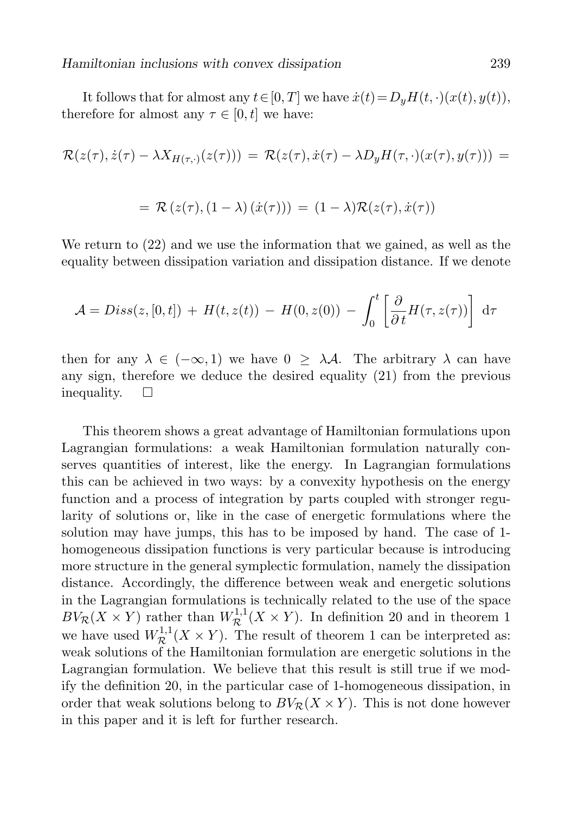It follows that for almost any  $t\in[0,T]$  we have  $\dot{x}(t)=D_uH(t,\cdot)(x(t), y(t)),$ therefore for almost any  $\tau \in [0, t]$  we have:

$$
\mathcal{R}(z(\tau), \dot{z}(\tau) - \lambda X_{H(\tau, \cdot)}(z(\tau))) = \mathcal{R}(z(\tau), \dot{x}(\tau) - \lambda D_y H(\tau, \cdot)(x(\tau), y(\tau))) =
$$
  
= 
$$
\mathcal{R}(z(\tau), (1 - \lambda) (\dot{x}(\tau))) = (1 - \lambda) \mathcal{R}(z(\tau), \dot{x}(\tau))
$$

We return to (22) and we use the information that we gained, as well as the equality between dissipation variation and dissipation distance. If we denote

$$
\mathcal{A} = Diss(z, [0, t]) + H(t, z(t)) - H(0, z(0)) - \int_0^t \left[ \frac{\partial}{\partial t} H(\tau, z(\tau)) \right] d\tau
$$

then for any  $\lambda \in (-\infty, 1)$  we have  $0 > \lambda \mathcal{A}$ . The arbitrary  $\lambda$  can have any sign, therefore we deduce the desired equality (21) from the previous inequality.  $\square$ 

This theorem shows a great advantage of Hamiltonian formulations upon Lagrangian formulations: a weak Hamiltonian formulation naturally conserves quantities of interest, like the energy. In Lagrangian formulations this can be achieved in two ways: by a convexity hypothesis on the energy function and a process of integration by parts coupled with stronger regularity of solutions or, like in the case of energetic formulations where the solution may have jumps, this has to be imposed by hand. The case of 1 homogeneous dissipation functions is very particular because is introducing more structure in the general symplectic formulation, namely the dissipation distance. Accordingly, the difference between weak and energetic solutions in the Lagrangian formulations is technically related to the use of the space  $BV_{\mathcal{R}}(X \times Y)$  rather than  $W_{\mathcal{R}}^{1,1}(X \times Y)$ . In definition 20 and in theorem 1 we have used  $W^{1,1}_{\mathcal{R}}(X \times Y)$ . The result of theorem 1 can be interpreted as: weak solutions of the Hamiltonian formulation are energetic solutions in the Lagrangian formulation. We believe that this result is still true if we modify the definition 20, in the particular case of 1-homogeneous dissipation, in order that weak solutions belong to  $BV_R(X \times Y)$ . This is not done however in this paper and it is left for further research.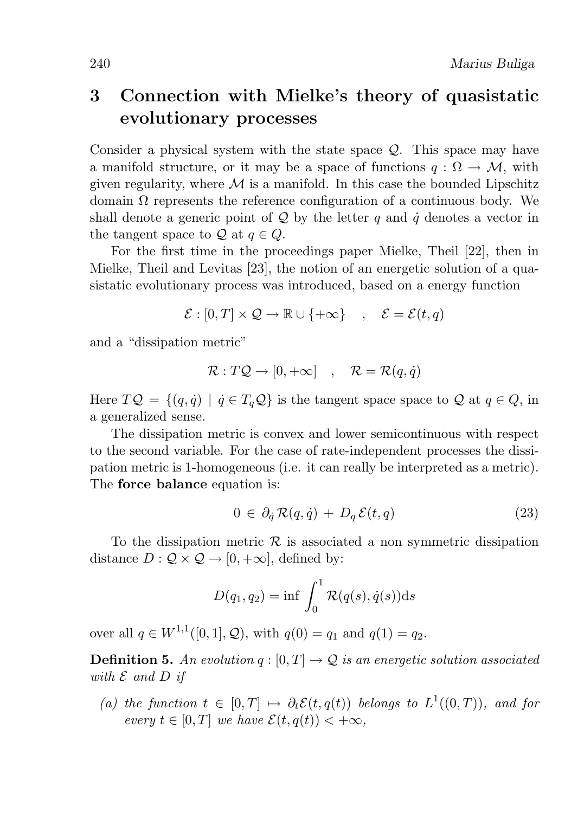# 3 Connection with Mielke's theory of quasistatic evolutionary processes

Consider a physical system with the state space Q. This space may have a manifold structure, or it may be a space of functions  $q : \Omega \to M$ , with given regularity, where  $\mathcal M$  is a manifold. In this case the bounded Lipschitz domain  $\Omega$  represents the reference configuration of a continuous body. We shall denote a generic point of  $\mathcal{Q}$  by the letter q and  $\dot{q}$  denotes a vector in the tangent space to Q at  $q \in Q$ .

For the first time in the proceedings paper Mielke, Theil [22], then in Mielke, Theil and Levitas [23], the notion of an energetic solution of a quasistatic evolutionary process was introduced, based on a energy function

$$
\mathcal{E} : [0, T] \times \mathcal{Q} \to \mathbb{R} \cup \{+\infty\} \quad , \quad \mathcal{E} = \mathcal{E}(t, q)
$$

and a "dissipation metric"

$$
\mathcal{R}: T\mathcal{Q} \to [0, +\infty] \quad , \quad \mathcal{R} = \mathcal{R}(q, \dot{q})
$$

Here  $TQ = \{(q, \dot{q}) \mid \dot{q} \in T_qQ\}$  is the tangent space space to Q at  $q \in Q$ , in a generalized sense.

The dissipation metric is convex and lower semicontinuous with respect to the second variable. For the case of rate-independent processes the dissipation metric is 1-homogeneous (i.e. it can really be interpreted as a metric). The force balance equation is:

$$
0 \in \partial_{\dot{q}} \mathcal{R}(q, \dot{q}) + D_q \mathcal{E}(t, q) \tag{23}
$$

To the dissipation metric  $\mathcal R$  is associated a non symmetric dissipation distance  $D: \mathcal{Q} \times \mathcal{Q} \rightarrow [0, +\infty]$ , defined by:

$$
D(q_1, q_2) = \inf \int_0^1 \mathcal{R}(q(s), \dot{q}(s)) \mathrm{d}s
$$

over all  $q \in W^{1,1}([0,1], \mathcal{Q})$ , with  $q(0) = q_1$  and  $q(1) = q_2$ .

**Definition 5.** An evolution  $q : [0, T] \rightarrow \mathcal{Q}$  is an energetic solution associated with  $\mathcal E$  and  $D$  if

(a) the function  $t \in [0,T] \mapsto \partial_t \mathcal{E}(t,q(t))$  belongs to  $L^1((0,T))$ , and for every  $t \in [0, T]$  we have  $\mathcal{E}(t, q(t)) < +\infty$ ,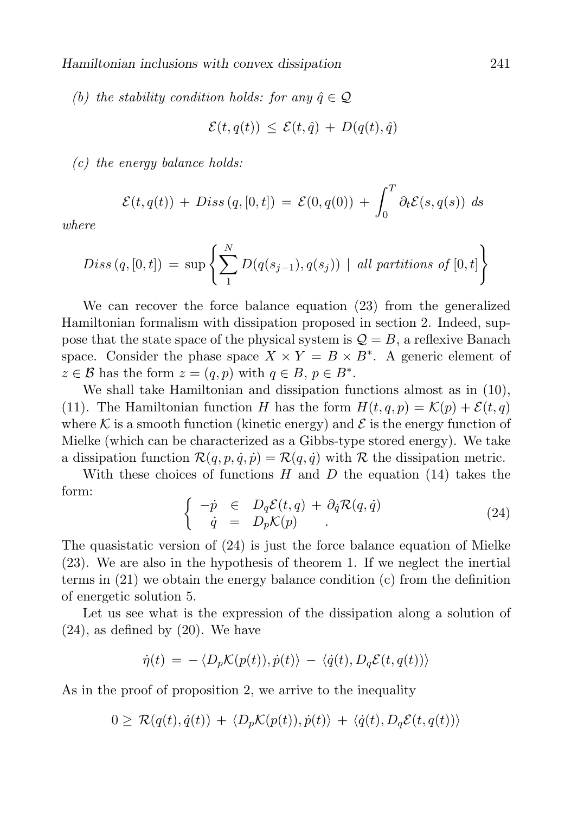(b) the stability condition holds: for any  $\hat{q} \in \mathcal{Q}$ 

$$
\mathcal{E}(t, q(t)) \leq \mathcal{E}(t, \hat{q}) + D(q(t), \hat{q})
$$

 $(c)$  the energy balance holds:

$$
\mathcal{E}(t,q(t)) + Diss(q,[0,t]) = \mathcal{E}(0,q(0)) + \int_0^T \partial_t \mathcal{E}(s,q(s)) ds
$$

where

$$
Diss (q, [0, t]) = \sup \left\{ \sum_{1}^{N} D(q(s_{j-1}), q(s_j)) \mid \text{all partitions of } [0, t] \right\}
$$

We can recover the force balance equation (23) from the generalized Hamiltonian formalism with dissipation proposed in section 2. Indeed, suppose that the state space of the physical system is  $\mathcal{Q} = B$ , a reflexive Banach space. Consider the phase space  $X \times Y = B \times B^*$ . A generic element of  $z \in \mathcal{B}$  has the form  $z = (q, p)$  with  $q \in B$ ,  $p \in B^*$ .

We shall take Hamiltonian and dissipation functions almost as in (10), (11). The Hamiltonian function H has the form  $H(t, q, p) = \mathcal{K}(p) + \mathcal{E}(t, q)$ where K is a smooth function (kinetic energy) and  $\mathcal E$  is the energy function of Mielke (which can be characterized as a Gibbs-type stored energy). We take a dissipation function  $\mathcal{R}(q, p, \dot{q}, \dot{p}) = \mathcal{R}(q, \dot{q})$  with  $\mathcal R$  the dissipation metric.

With these choices of functions H and D the equation  $(14)$  takes the form:

$$
\begin{cases}\n-p \in D_q \mathcal{E}(t, q) + \partial_{\dot{q}} \mathcal{R}(q, \dot{q}) \\
\dot{q} = D_p \mathcal{K}(p)\n\end{cases} \tag{24}
$$

The quasistatic version of (24) is just the force balance equation of Mielke (23). We are also in the hypothesis of theorem 1. If we neglect the inertial terms in (21) we obtain the energy balance condition (c) from the definition of energetic solution 5.

Let us see what is the expression of the dissipation along a solution of  $(24)$ , as defined by  $(20)$ . We have

$$
\dot{\eta}(t) = -\langle D_p \mathcal{K}(p(t)), \dot{p}(t) \rangle - \langle \dot{q}(t), D_q \mathcal{E}(t, q(t)) \rangle
$$

As in the proof of proposition 2, we arrive to the inequality

$$
0 \geq \mathcal{R}(q(t), \dot{q}(t)) + \langle D_p \mathcal{K}(p(t)), \dot{p}(t) \rangle + \langle \dot{q}(t), D_q \mathcal{E}(t, q(t)) \rangle
$$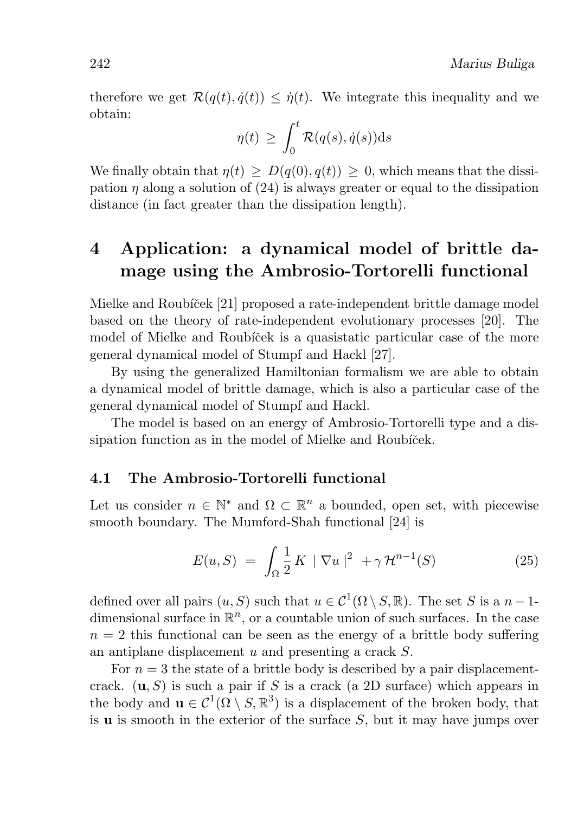therefore we get  $\mathcal{R}(q(t), \dot{q}(t)) \leq \dot{\eta}(t)$ . We integrate this inequality and we obtain:

$$
\eta(t) \ge \int_0^t \mathcal{R}(q(s), \dot{q}(s)) \mathrm{d} s
$$

We finally obtain that  $\eta(t) > D(q(0), q(t)) > 0$ , which means that the dissipation  $\eta$  along a solution of (24) is always greater or equal to the dissipation distance (in fact greater than the dissipation length).

# 4 Application: a dynamical model of brittle damage using the Ambrosio-Tortorelli functional

Mielke and Roubíček [21] proposed a rate-independent brittle damage model based on the theory of rate-independent evolutionary processes [20]. The model of Mielke and Roubíček is a quasistatic particular case of the more general dynamical model of Stumpf and Hackl [27].

By using the generalized Hamiltonian formalism we are able to obtain a dynamical model of brittle damage, which is also a particular case of the general dynamical model of Stumpf and Hackl.

The model is based on an energy of Ambrosio-Tortorelli type and a dissipation function as in the model of Mielke and Roubíček.

### 4.1 The Ambrosio-Tortorelli functional

Let us consider  $n \in \mathbb{N}^*$  and  $\Omega \subset \mathbb{R}^n$  a bounded, open set, with piecewise smooth boundary. The Mumford-Shah functional [24] is

$$
E(u, S) = \int_{\Omega} \frac{1}{2} K \|\nabla u\|^2 + \gamma \mathcal{H}^{n-1}(S)
$$
 (25)

defined over all pairs  $(u, S)$  such that  $u \in C^1(\Omega \setminus S, \mathbb{R})$ . The set S is a  $n-1$ dimensional surface in  $\mathbb{R}^n$ , or a countable union of such surfaces. In the case  $n = 2$  this functional can be seen as the energy of a brittle body suffering an antiplane displacement u and presenting a crack S.

For  $n=3$  the state of a brittle body is described by a pair displacementcrack.  $(\mathbf{u}, S)$  is such a pair if S is a crack (a 2D surface) which appears in the body and  $\mathbf{u} \in C^1(\Omega \setminus \mathcal{S}, \mathbb{R}^3)$  is a displacement of the broken body, that is  $\bf{u}$  is smooth in the exterior of the surface S, but it may have jumps over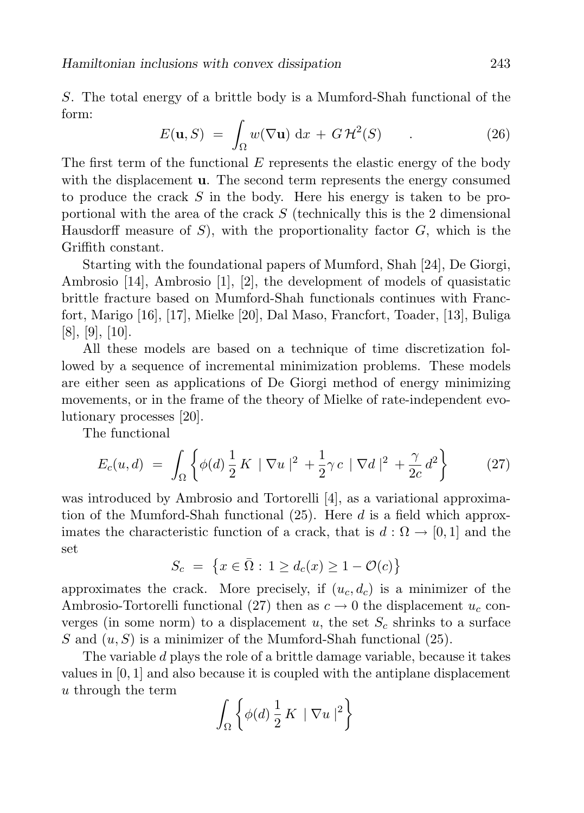S. The total energy of a brittle body is a Mumford-Shah functional of the form:

$$
E(\mathbf{u}, S) = \int_{\Omega} w(\nabla \mathbf{u}) \, \mathrm{d}x + G \, \mathcal{H}^2(S) \qquad . \tag{26}
$$

The first term of the functional  $E$  represents the elastic energy of the body with the displacement **u**. The second term represents the energy consumed to produce the crack  $S$  in the body. Here his energy is taken to be proportional with the area of the crack  $S$  (technically this is the 2 dimensional Hausdorff measure of  $S$ , with the proportionality factor  $G$ , which is the Griffith constant.

Starting with the foundational papers of Mumford, Shah [24], De Giorgi, Ambrosio [14], Ambrosio [1], [2], the development of models of quasistatic brittle fracture based on Mumford-Shah functionals continues with Francfort, Marigo [16], [17], Mielke [20], Dal Maso, Francfort, Toader, [13], Buliga [8], [9], [10].

All these models are based on a technique of time discretization followed by a sequence of incremental minimization problems. These models are either seen as applications of De Giorgi method of energy minimizing movements, or in the frame of the theory of Mielke of rate-independent evolutionary processes [20].

The functional

$$
E_c(u,d) \ = \ \int_{\Omega} \left\{ \phi(d) \, \frac{1}{2} \, K \, \mid \nabla u \mid^2 + \frac{1}{2} \gamma c \, \mid \nabla d \mid^2 + \frac{\gamma}{2c} \, d^2 \right\} \tag{27}
$$

was introduced by Ambrosio and Tortorelli [4], as a variational approximation of the Mumford-Shah functional  $(25)$ . Here d is a field which approximates the characteristic function of a crack, that is  $d : \Omega \to [0,1]$  and the set

$$
S_c = \{x \in \overline{\Omega} : 1 \ge d_c(x) \ge 1 - \mathcal{O}(c)\}
$$

approximates the crack. More precisely, if  $(u_c, d_c)$  is a minimizer of the Ambrosio-Tortorelli functional (27) then as  $c \to 0$  the displacement  $u_c$  converges (in some norm) to a displacement  $u$ , the set  $S_c$  shrinks to a surface S and  $(u, S)$  is a minimizer of the Mumford-Shah functional  $(25)$ .

The variable d plays the role of a brittle damage variable, because it takes values in [0, 1] and also because it is coupled with the antiplane displacement u through the term

$$
\int_{\Omega} \left\{ \phi(d) \frac{1}{2} K \mid \nabla u \mid^{2} \right\}
$$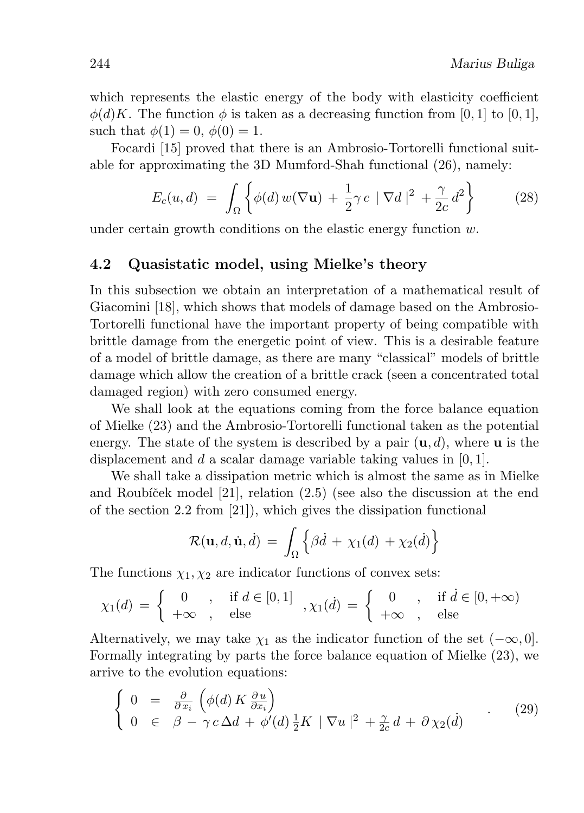which represents the elastic energy of the body with elasticity coefficient  $\phi(d)K$ . The function  $\phi$  is taken as a decreasing function from [0, 1] to [0, 1], such that  $\phi(1) = 0$ ,  $\phi(0) = 1$ .

Focardi [15] proved that there is an Ambrosio-Tortorelli functional suitable for approximating the 3D Mumford-Shah functional (26), namely:

$$
E_c(u,d) = \int_{\Omega} \left\{ \phi(d) w(\nabla \mathbf{u}) + \frac{1}{2} \gamma c \mid \nabla d \mid^2 + \frac{\gamma}{2c} d^2 \right\} \tag{28}
$$

under certain growth conditions on the elastic energy function w.

#### 4.2 Quasistatic model, using Mielke's theory

In this subsection we obtain an interpretation of a mathematical result of Giacomini [18], which shows that models of damage based on the Ambrosio-Tortorelli functional have the important property of being compatible with brittle damage from the energetic point of view. This is a desirable feature of a model of brittle damage, as there are many "classical" models of brittle damage which allow the creation of a brittle crack (seen a concentrated total damaged region) with zero consumed energy.

We shall look at the equations coming from the force balance equation of Mielke (23) and the Ambrosio-Tortorelli functional taken as the potential energy. The state of the system is described by a pair  $(\mathbf{u}, d)$ , where **u** is the displacement and d a scalar damage variable taking values in  $[0, 1]$ .

We shall take a dissipation metric which is almost the same as in Mielke and Roubíček model  $[21]$ , relation  $(2.5)$  (see also the discussion at the end of the section 2.2 from [21]), which gives the dissipation functional

$$
\mathcal{R}(\mathbf{u}, d, \dot{\mathbf{u}}, \dot{d}) = \int_{\Omega} \left\{ \beta \dot{d} + \chi_1(d) + \chi_2(\dot{d}) \right\}
$$

The functions  $\chi_1, \chi_2$  are indicator functions of convex sets:

$$
\chi_1(d) = \begin{cases} 0, & \text{if } d \in [0,1] \\ +\infty, & \text{else} \end{cases}, \chi_1(d) = \begin{cases} 0, & \text{if } d \in [0,+\infty) \\ +\infty, & \text{else} \end{cases}
$$

Alternatively, we may take  $\chi_1$  as the indicator function of the set  $(-\infty, 0]$ . Formally integrating by parts the force balance equation of Mielke (23), we arrive to the evolution equations:

$$
\begin{cases}\n0 = \frac{\partial}{\partial x_i} \left( \phi(d) K \frac{\partial u}{\partial x_i} \right) \\
0 \in \beta - \gamma c \Delta d + \phi'(d) \frac{1}{2} K \|\nabla u\|^2 + \frac{\gamma}{2c} d + \partial \chi_2(d)\n\end{cases} (29)
$$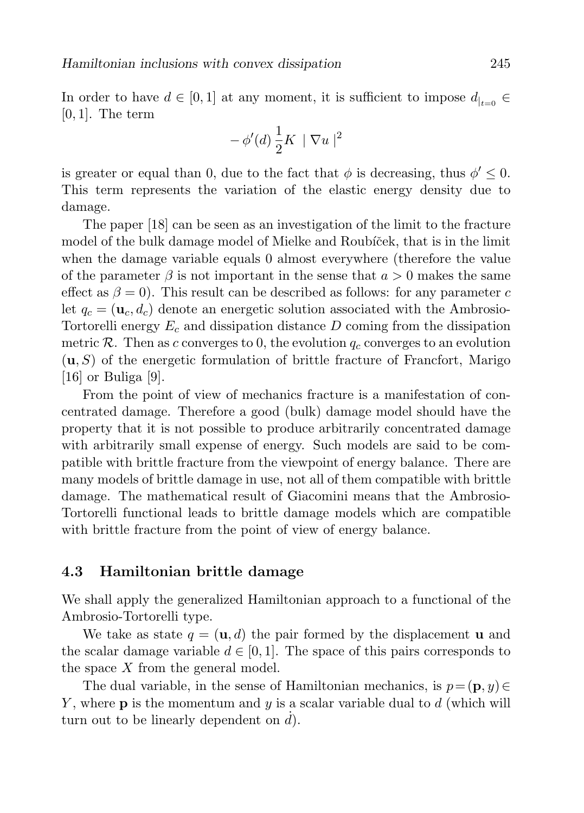In order to have  $d \in [0,1]$  at any moment, it is sufficient to impose  $d_{|t=0} \in$  $[0, 1]$ . The term

$$
-\,\phi'(d)\,\frac{1}{2}K\,\mid\nabla u\mid^2
$$

is greater or equal than 0, due to the fact that  $\phi$  is decreasing, thus  $\phi' \leq 0$ . This term represents the variation of the elastic energy density due to damage.

The paper [18] can be seen as an investigation of the limit to the fracture model of the bulk damage model of Mielke and Roubíček, that is in the limit when the damage variable equals 0 almost everywhere (therefore the value of the parameter  $\beta$  is not important in the sense that  $a > 0$  makes the same effect as  $\beta = 0$ ). This result can be described as follows: for any parameter c let  $q_c = (\mathbf{u}_c, d_c)$  denote an energetic solution associated with the Ambrosio-Tortorelli energy  $E_c$  and dissipation distance  $D$  coming from the dissipation metric R. Then as c converges to 0, the evolution  $q_c$  converges to an evolution  $(u, S)$  of the energetic formulation of brittle fracture of Francfort, Marigo [16] or Buliga [9].

From the point of view of mechanics fracture is a manifestation of concentrated damage. Therefore a good (bulk) damage model should have the property that it is not possible to produce arbitrarily concentrated damage with arbitrarily small expense of energy. Such models are said to be compatible with brittle fracture from the viewpoint of energy balance. There are many models of brittle damage in use, not all of them compatible with brittle damage. The mathematical result of Giacomini means that the Ambrosio-Tortorelli functional leads to brittle damage models which are compatible with brittle fracture from the point of view of energy balance.

### 4.3 Hamiltonian brittle damage

We shall apply the generalized Hamiltonian approach to a functional of the Ambrosio-Tortorelli type.

We take as state  $q = (\mathbf{u}, d)$  the pair formed by the displacement **u** and the scalar damage variable  $d \in [0, 1]$ . The space of this pairs corresponds to the space  $X$  from the general model.

The dual variable, in the sense of Hamiltonian mechanics, is  $p = (\mathbf{p}, y) \in$ Y, where  $\bf{p}$  is the momentum and  $y$  is a scalar variable dual to  $d$  (which will turn out to be linearly dependent on  $\overrightarrow{d}$ .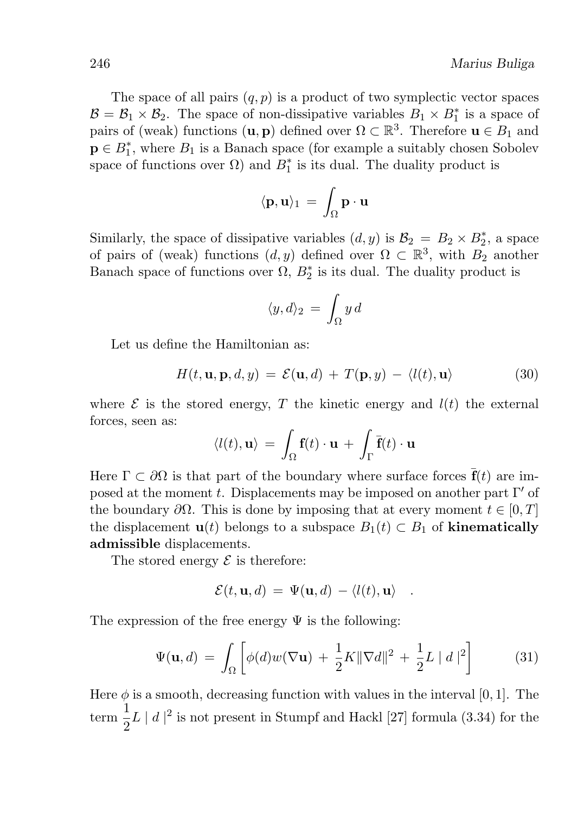The space of all pairs  $(q, p)$  is a product of two symplectic vector spaces  $\mathcal{B} = \mathcal{B}_1 \times \mathcal{B}_2$ . The space of non-dissipative variables  $B_1 \times B_1^*$  is a space of pairs of (weak) functions  $(\mathbf{u}, \mathbf{p})$  defined over  $\Omega \subset \mathbb{R}^3$ . Therefore  $\mathbf{u} \in B_1$  and  $\mathbf{p} \in B_1^*$ , where  $B_1$  is a Banach space (for example a suitably chosen Sobolev space of functions over  $\Omega$ ) and  $B_1^*$  is its dual. The duality product is

$$
\langle \mathbf{p}, \mathbf{u} \rangle_1 \, = \, \int_{\Omega} \mathbf{p} \cdot \mathbf{u}
$$

Similarly, the space of dissipative variables  $(d, y)$  is  $\mathcal{B}_2 = B_2 \times B_2^*$ , a space of pairs of (weak) functions  $(d, y)$  defined over  $\Omega \subset \mathbb{R}^3$ , with  $B_2$  another Banach space of functions over  $\Omega$ ,  $B_2^*$  is its dual. The duality product is

$$
\langle y, d \rangle_2 = \int_{\Omega} y \, d
$$

Let us define the Hamiltonian as:

$$
H(t, \mathbf{u}, \mathbf{p}, d, y) = \mathcal{E}(\mathbf{u}, d) + T(\mathbf{p}, y) - \langle l(t), \mathbf{u} \rangle \tag{30}
$$

where  $\mathcal E$  is the stored energy, T the kinetic energy and  $l(t)$  the external forces, seen as:

$$
\langle l(t), \mathbf{u} \rangle \, = \, \int_{\Omega} \mathbf{f}(t) \cdot \mathbf{u} \, + \, \int_{\Gamma} \overline{\mathbf{f}}(t) \cdot \mathbf{u}
$$

Here  $\Gamma \subset \partial \Omega$  is that part of the boundary where surface forces  $\bar{\mathbf{f}}(t)$  are imposed at the moment t. Displacements may be imposed on another part  $\Gamma'$  of the boundary  $\partial\Omega$ . This is done by imposing that at every moment  $t \in [0, T]$ the displacement  $\mathbf{u}(t)$  belongs to a subspace  $B_1(t) \subset B_1$  of **kinematically** admissible displacements.

The stored energy  $\mathcal E$  is therefore:

$$
\mathcal{E}(t,\mathbf{u},d) = \Psi(\mathbf{u},d) - \langle l(t),\mathbf{u}\rangle .
$$

The expression of the free energy  $\Psi$  is the following:

$$
\Psi(\mathbf{u},d) = \int_{\Omega} \left[ \phi(d)w(\nabla \mathbf{u}) + \frac{1}{2}K \|\nabla d\|^2 + \frac{1}{2}L \mid d\mid^2 \right] \tag{31}
$$

Here  $\phi$  is a smooth, decreasing function with values in the interval [0, 1]. The  $\frac{1}{2}$  $\frac{1}{2}L \mid d \mid^2$  is not present in Stumpf and Hackl [27] formula (3.34) for the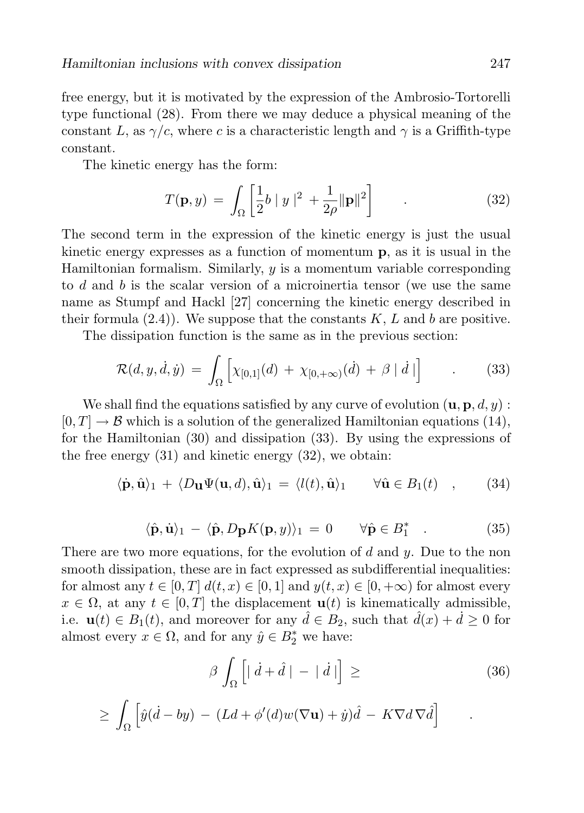free energy, but it is motivated by the expression of the Ambrosio-Tortorelli type functional (28). From there we may deduce a physical meaning of the constant L, as  $\gamma/c$ , where c is a characteristic length and  $\gamma$  is a Griffith-type constant.

The kinetic energy has the form:

$$
T(\mathbf{p}, y) = \int_{\Omega} \left[ \frac{1}{2} b \|y\|^2 + \frac{1}{2\rho} \|\mathbf{p}\|^2 \right] \tag{32}
$$

The second term in the expression of the kinetic energy is just the usual kinetic energy expresses as a function of momentum p, as it is usual in the Hamiltonian formalism. Similarly,  $y$  is a momentum variable corresponding to d and b is the scalar version of a microinertia tensor (we use the same name as Stumpf and Hackl [27] concerning the kinetic energy described in their formula  $(2.4)$ . We suppose that the constants K, L and b are positive.

The dissipation function is the same as in the previous section:

$$
\mathcal{R}(d, y, \dot{d}, \dot{y}) = \int_{\Omega} \left[ \chi_{[0,1]}(d) + \chi_{[0, +\infty)}(\dot{d}) + \beta \mid \dot{d} \mid \right] \tag{33}
$$

We shall find the equations satisfied by any curve of evolution  $(\mathbf{u}, \mathbf{p}, d, y)$ :  $[0, T] \rightarrow \mathcal{B}$  which is a solution of the generalized Hamiltonian equations (14), for the Hamiltonian (30) and dissipation (33). By using the expressions of the free energy (31) and kinetic energy (32), we obtain:

$$
\langle \dot{\mathbf{p}}, \hat{\mathbf{u}} \rangle_1 + \langle D_{\mathbf{u}} \Psi(\mathbf{u}, d), \hat{\mathbf{u}} \rangle_1 = \langle l(t), \hat{\mathbf{u}} \rangle_1 \quad \forall \hat{\mathbf{u}} \in B_1(t) \quad , \tag{34}
$$

$$
\langle \hat{\mathbf{p}}, \dot{\mathbf{u}} \rangle_1 - \langle \hat{\mathbf{p}}, D_{\mathbf{p}} K(\mathbf{p}, y) \rangle_1 = 0 \qquad \forall \hat{\mathbf{p}} \in B_1^* \quad . \tag{35}
$$

There are two more equations, for the evolution of  $d$  and  $y$ . Due to the non smooth dissipation, these are in fact expressed as subdifferential inequalities: for almost any  $t \in [0, T]$   $d(t, x) \in [0, 1]$  and  $y(t, x) \in [0, +\infty)$  for almost every  $x \in \Omega$ , at any  $t \in [0, T]$  the displacement  $\mathbf{u}(t)$  is kinematically admissible, i.e.  $\mathbf{u}(t) \in B_1(t)$ , and moreover for any  $\hat{d} \in B_2$ , such that  $\hat{d}(x) + \hat{d} \geq 0$  for almost every  $x \in \Omega$ , and for any  $\hat{y} \in B_2^*$  we have:

$$
\beta \int_{\Omega} \left[ \left| \dot{d} + \hat{d} \right| - \left| \dot{d} \right| \right] \ge \tag{36}
$$

.

$$
\geq \int_{\Omega} \left[ \hat{y}(\dot{d} - by) - (Ld + \phi'(d)w(\nabla \mathbf{u}) + \dot{y})\hat{d} - K\nabla d\nabla \hat{d} \right]
$$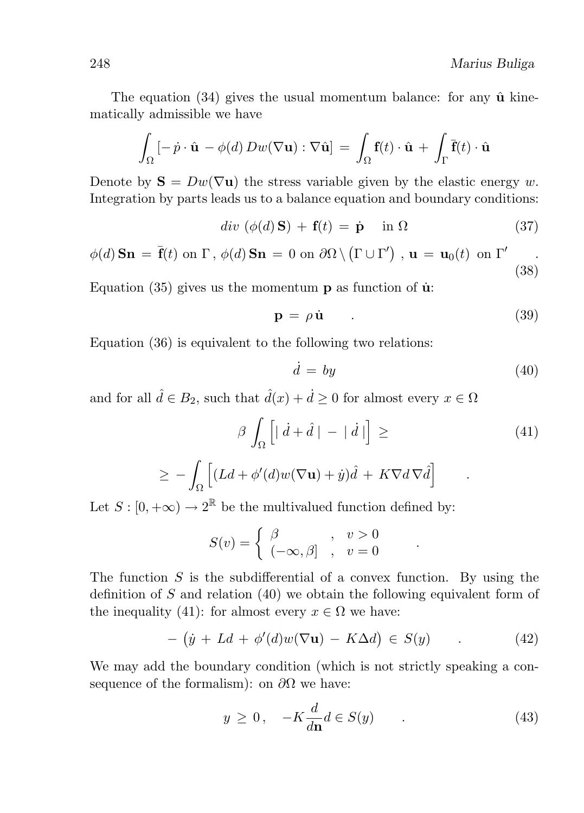The equation  $(34)$  gives the usual momentum balance: for any  $\hat{u}$  kinematically admissible we have

$$
\int_{\Omega} \left[ -\dot{p} \cdot \hat{\mathbf{u}} - \phi(d) D w(\nabla \mathbf{u}) : \nabla \hat{\mathbf{u}} \right] = \int_{\Omega} \mathbf{f}(t) \cdot \hat{\mathbf{u}} + \int_{\Gamma} \overline{\mathbf{f}}(t) \cdot \hat{\mathbf{u}}
$$

Denote by  $S = Dw(\nabla u)$  the stress variable given by the elastic energy w. Integration by parts leads us to a balance equation and boundary conditions:

 $div (\phi(d) \mathbf{S}) + \mathbf{f}(t) = \dot{\mathbf{p}} \quad \text{in } \Omega$  (37)

$$
\phi(d)\,\mathbf{Sn} = \overline{\mathbf{f}}(t)\,\,\text{on}\,\,\Gamma\,,\,\phi(d)\,\mathbf{Sn} = 0\,\,\text{on}\,\,\partial\Omega\setminus\left(\Gamma\cup\Gamma'\right)\,,\,\mathbf{u} = \mathbf{u}_0(t)\,\,\text{on}\,\,\Gamma'\quad\qquad(38)
$$

Equation (35) gives us the momentum  $\bf{p}$  as function of  $\bf{\dot{u}}$ :

$$
\mathbf{p} = \rho \dot{\mathbf{u}} \tag{39}
$$

Equation (36) is equivalent to the following two relations:

$$
\dot{d} = by \tag{40}
$$

and for all  $\hat{d} \in B_2$ , such that  $\hat{d}(x) + \hat{d} \geq 0$  for almost every  $x \in \Omega$ 

$$
\beta \int_{\Omega} \left[ \left| \dot{d} + \hat{d} \right| - \left| \dot{d} \right| \right] \ge \tag{41}
$$
\n
$$
\ge - \int_{\Omega} \left[ (Ld + \phi'(d)w(\nabla \mathbf{u}) + \dot{y})\hat{d} + K\nabla d \nabla \hat{d} \right]
$$

Let  $S : [0, +\infty) \to 2^{\mathbb{R}}$  be the multivalued function defined by:

$$
S(v) = \begin{cases} \beta & , v > 0 \\ (-\infty, \beta] & , v = 0 \end{cases}
$$

The function  $S$  is the subdifferential of a convex function. By using the definition of  $S$  and relation  $(40)$  we obtain the following equivalent form of the inequality (41): for almost every  $x \in \Omega$  we have:

$$
- (y + Ld + \phi'(d)w(\nabla \mathbf{u}) - K\Delta d) \in S(y) \tag{42}
$$

We may add the boundary condition (which is not strictly speaking a consequence of the formalism): on  $\partial\Omega$  we have:

$$
y \ge 0, \quad -K\frac{d}{d\mathbf{n}}d \in S(y) \tag{43}
$$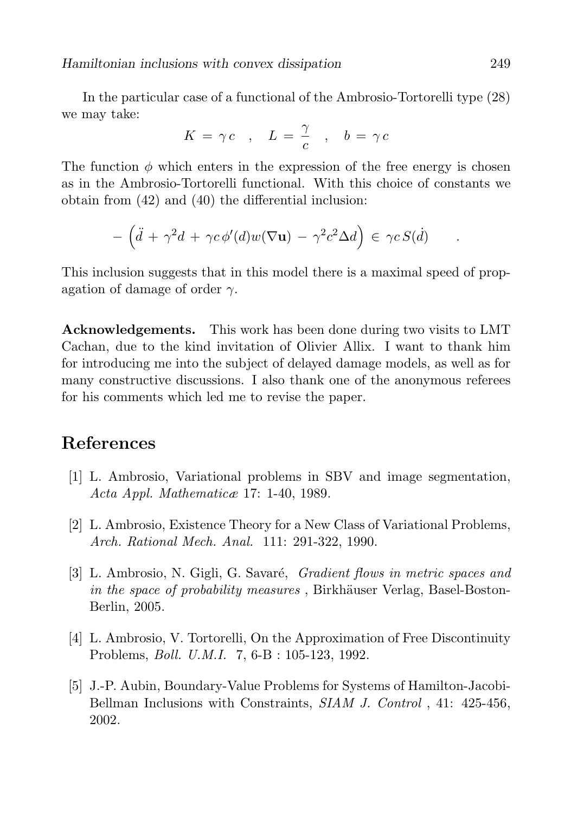In the particular case of a functional of the Ambrosio-Tortorelli type (28) we may take:

$$
K = \gamma c \quad , \quad L = \frac{\gamma}{c} \quad , \quad b = \gamma c
$$

The function  $\phi$  which enters in the expression of the free energy is chosen as in the Ambrosio-Tortorelli functional. With this choice of constants we obtain from (42) and (40) the differential inclusion:

$$
-\left(\ddot{d} + \gamma^2 d + \gamma c \phi'(d) w(\nabla \mathbf{u}) - \gamma^2 c^2 \Delta d\right) \in \gamma c S(d) \quad .
$$

This inclusion suggests that in this model there is a maximal speed of propagation of damage of order  $\gamma$ .

Acknowledgements. This work has been done during two visits to LMT Cachan, due to the kind invitation of Olivier Allix. I want to thank him for introducing me into the subject of delayed damage models, as well as for many constructive discussions. I also thank one of the anonymous referees for his comments which led me to revise the paper.

### References

- [1] L. Ambrosio, Variational problems in SBV and image segmentation, Acta Appl. Mathematicæ 17: 1-40, 1989.
- [2] L. Ambrosio, Existence Theory for a New Class of Variational Problems, Arch. Rational Mech. Anal. 111: 291-322, 1990.
- [3] L. Ambrosio, N. Gigli, G. Savaré, Gradient flows in metric spaces and in the space of probability measures, Birkhäuser Verlag, Basel-Boston-Berlin, 2005.
- [4] L. Ambrosio, V. Tortorelli, On the Approximation of Free Discontinuity Problems, Boll. U.M.I. 7, 6-B : 105-123, 1992.
- [5] J.-P. Aubin, Boundary-Value Problems for Systems of Hamilton-Jacobi-Bellman Inclusions with Constraints, SIAM J. Control, 41: 425-456, 2002.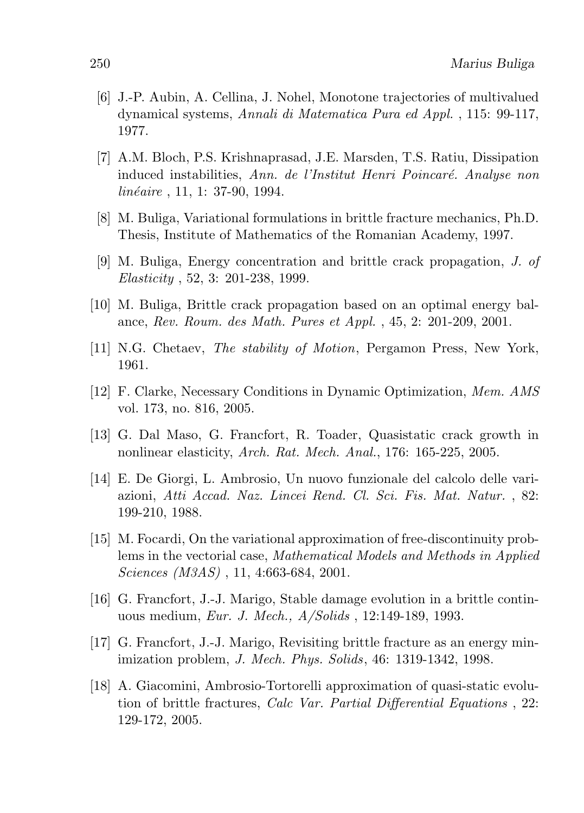- [6] J.-P. Aubin, A. Cellina, J. Nohel, Monotone trajectories of multivalued dynamical systems, Annali di Matematica Pura ed Appl. , 115: 99-117, 1977.
- [7] A.M. Bloch, P.S. Krishnaprasad, J.E. Marsden, T.S. Ratiu, Dissipation induced instabilities. Ann. de l'Institut Henri Poincaré. Analyse non  $linéaire$ , 11, 1: 37-90, 1994.
- [8] M. Buliga, Variational formulations in brittle fracture mechanics, Ph.D. Thesis, Institute of Mathematics of the Romanian Academy, 1997.
- [9] M. Buliga, Energy concentration and brittle crack propagation, J. of Elasticity , 52, 3: 201-238, 1999.
- [10] M. Buliga, Brittle crack propagation based on an optimal energy balance, Rev. Roum. des Math. Pures et Appl. , 45, 2: 201-209, 2001.
- [11] N.G. Chetaev, The stability of Motion, Pergamon Press, New York, 1961.
- [12] F. Clarke, Necessary Conditions in Dynamic Optimization, Mem. AMS vol. 173, no. 816, 2005.
- [13] G. Dal Maso, G. Francfort, R. Toader, Quasistatic crack growth in nonlinear elasticity, Arch. Rat. Mech. Anal., 176: 165-225, 2005.
- [14] E. De Giorgi, L. Ambrosio, Un nuovo funzionale del calcolo delle variazioni, Atti Accad. Naz. Lincei Rend. Cl. Sci. Fis. Mat. Natur. , 82: 199-210, 1988.
- [15] M. Focardi, On the variational approximation of free-discontinuity problems in the vectorial case, Mathematical Models and Methods in Applied Sciences (M3AS) , 11, 4:663-684, 2001.
- [16] G. Francfort, J.-J. Marigo, Stable damage evolution in a brittle continuous medium, Eur. J. Mech., A/Solids , 12:149-189, 1993.
- [17] G. Francfort, J.-J. Marigo, Revisiting brittle fracture as an energy minimization problem, J. Mech. Phys. Solids, 46: 1319-1342, 1998.
- [18] A. Giacomini, Ambrosio-Tortorelli approximation of quasi-static evolution of brittle fractures, Calc Var. Partial Differential Equations , 22: 129-172, 2005.